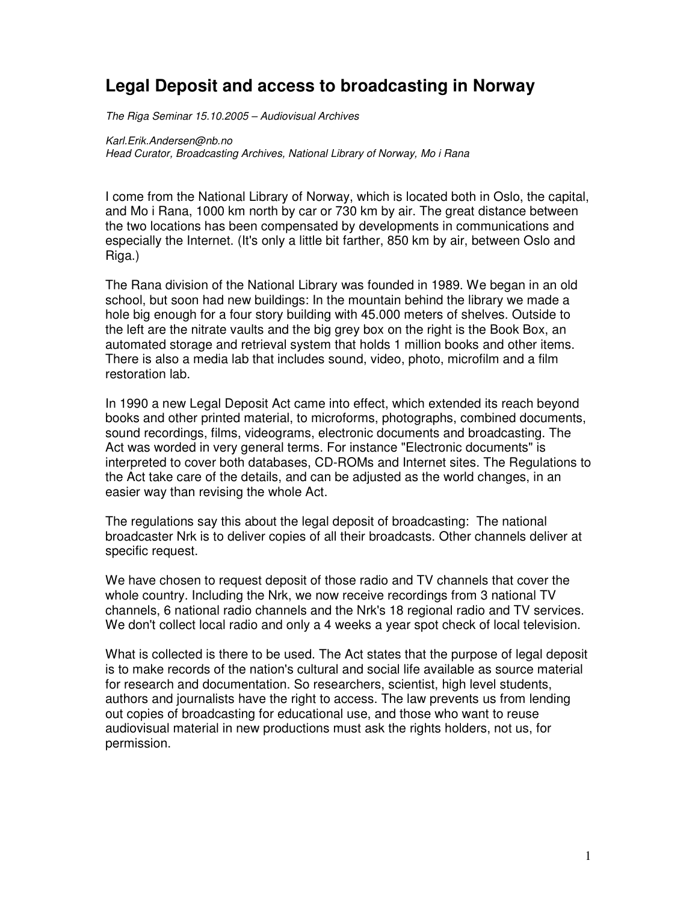## **Legal Deposit and access to broadcasting in Norway**

The Riga Seminar 15.10.2005 – Audiovisual Archives

Karl.Erik.Andersen@nb.no Head Curator, Broadcasting Archives, National Library of Norway, Mo i Rana

I come from the National Library of Norway, which is located both in Oslo, the capital, and Mo i Rana, 1000 km north by car or 730 km by air. The great distance between the two locations has been compensated by developments in communications and especially the Internet. (It's only a little bit farther, 850 km by air, between Oslo and Riga.)

The Rana division of the National Library was founded in 1989. We began in an old school, but soon had new buildings: In the mountain behind the library we made a hole big enough for a four story building with 45.000 meters of shelves. Outside to the left are the nitrate vaults and the big grey box on the right is the Book Box, an automated storage and retrieval system that holds 1 million books and other items. There is also a media lab that includes sound, video, photo, microfilm and a film restoration lab.

In 1990 a new Legal Deposit Act came into effect, which extended its reach beyond books and other printed material, to microforms, photographs, combined documents, sound recordings, films, videograms, electronic documents and broadcasting. The Act was worded in very general terms. For instance "Electronic documents" is interpreted to cover both databases, CD-ROMs and Internet sites. The Regulations to the Act take care of the details, and can be adjusted as the world changes, in an easier way than revising the whole Act.

The regulations say this about the legal deposit of broadcasting: The national broadcaster Nrk is to deliver copies of all their broadcasts. Other channels deliver at specific request.

We have chosen to request deposit of those radio and TV channels that cover the whole country. Including the Nrk, we now receive recordings from 3 national TV channels, 6 national radio channels and the Nrk's 18 regional radio and TV services. We don't collect local radio and only a 4 weeks a year spot check of local television.

What is collected is there to be used. The Act states that the purpose of legal deposit is to make records of the nation's cultural and social life available as source material for research and documentation. So researchers, scientist, high level students, authors and journalists have the right to access. The law prevents us from lending out copies of broadcasting for educational use, and those who want to reuse audiovisual material in new productions must ask the rights holders, not us, for permission.